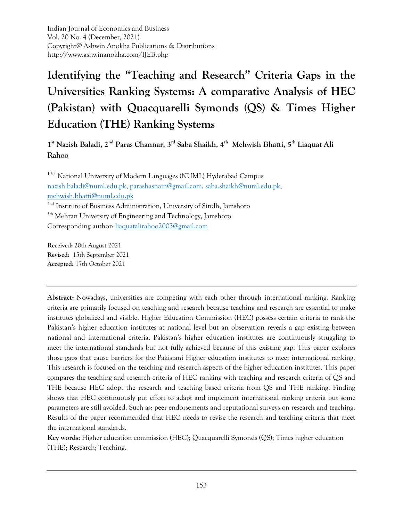Indian Journal of Economics and Business Vol. 20 No. 4 (December, 2021) Copyright@ Ashwin Anokha Publications & Distributions http://www.ashwinanokha.com/IJEB.php

# **Identifying the "Teaching and Research" Criteria Gaps in the Universities Ranking Systems: A comparative Analysis of HEC (Pakistan) with Quacquarelli Symonds (QS) & Times Higher Education (THE) Ranking Systems**

**1 st Nazish Baladi, 2nd Paras Channar, 3rd Saba Shaikh, 4th Mehwish Bhatti, 5th Liaquat Ali Rahoo**

<sup>1,3,4</sup> National University of Modern Languages (NUML) Hyderabad Campus [nazish.baladi@numl.edu.pk,](mailto:nazish.baladi@numl.edu.pk) [parashasnain@gmail.com,](mailto:parashasnain@gmail.com) [saba.shaikh@numl.edu.pk,](mailto:saba.shaikh@numl.edu.pk) [mehwish.bhatti@numl.edu.pk](mailto:mehwish.bhatti@numl.edu.pk) <sup>2nd</sup> Institute of Business Administration, University of Sindh, Jamshoro <sup>5th</sup> Mehran University of Engineering and Technology, Jamshoro Corresponding author: [liaquatalirahoo2003@gmail.com](mailto:liaquatalirahoo2003@gmail.com)

**Received:** 20th August 2021 **Revised:** 15th September 2021 **Accepted:** 17th October 2021

**Abstract:** Nowadays, universities are competing with each other through international ranking. Ranking criteria are primarily focused on teaching and research because teaching and research are essential to make institutes globalized and visible. Higher Education Commission (HEC) possess certain criteria to rank the Pakistan's higher education institutes at national level but an observation reveals a gap existing between national and international criteria. Pakistan's higher education institutes are continuously struggling to meet the international standards but not fully achieved because of this existing gap. This paper explores those gaps that cause barriers for the Pakistani Higher education institutes to meet international ranking. This research is focused on the teaching and research aspects of the higher education institutes. This paper compares the teaching and research criteria of HEC ranking with teaching and research criteria of QS and THE because HEC adopt the research and teaching based criteria from QS and THE ranking. Finding shows that HEC continuously put effort to adapt and implement international ranking criteria but some parameters are still avoided. Such as: peer endorsements and reputational surveys on research and teaching. Results of the paper recommended that HEC needs to revise the research and teaching criteria that meet the international standards.

**Key words:** Higher education commission (HEC); Quacquarelli Symonds (QS); Times higher education (THE); Research; Teaching.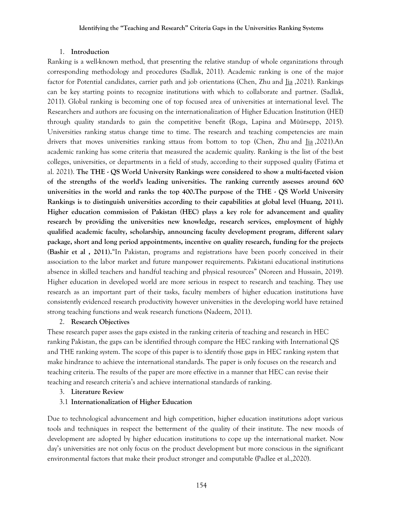#### 1. **Introduction**

Ranking is a well-known method, that presenting the relative standup of whole organizations through corresponding methodology and procedures (Sadlak, 2011). Academic ranking is one of the major factor for Potential candidates, carrier path and job orientations [\(Chen,](about:blank) [Zhu](about:blank) an[d](about:blank) [Jia](about:blank) ,2021). Rankings can be key starting points to recognize institutions with which to collaborate and partner. (Sadlak, 2011). Global ranking is becoming one of top focused area of universities at international level. The Researchers and authors are focusing on the internationalization of Higher Education Institution (HEI) through quality standards to gain the competitive benefit (Roga, Lapina and Müürsepp, 2015). Universities ranking status change time to time. The research and teaching competencies are main drivers that moves universities ranking sttaus from bottom to top [\(Chen,](about:blank) [Zhu](about:blank) and [Jia](about:blank) ,2021).An academic ranking has some criteria that measured the academic quality. Ranking is the list of the best colleges, universities, or departments in a field of study, according to their supposed quality **(**Fatima et al. 2021). **The THE - QS World University Rankings were considered to show a multi-faceted vision of the strengths of the world's leading universities. The ranking currently assesses around 600 universities in the world and ranks the top 400.The purpose of the THE - QS World University Rankings is to distinguish universities according to their capabilities at global level (Huang, 2011). Higher education commission of Pakistan (HEC) plays a key role for advancement and quality research by providing the universities new knowledge, research services, employment of highly qualified academic faculty, scholarship, announcing faculty development program, different salary package, short and long period appointments, incentive on quality research, funding for the projects (Bashir et al , 2011).**"In Pakistan, programs and registrations have been poorly conceived in their association to the labor market and future manpower requirements. Pakistani educational institutions absence in skilled teachers and handful teaching and physical resources" (Noreen and Hussain, 2019). Higher education in developed world are more serious in respect to research and teaching. They use research as an important part of their tasks, faculty members of higher education institutions have consistently evidenced research productivity however universities in the developing world have retained strong teaching functions and weak research functions (Nadeem, 2011).

#### 2. **Research Objectives**

These research paper asses the gaps existed in the ranking criteria of teaching and research in HEC ranking Pakistan, the gaps can be identified through compare the HEC ranking with International QS and THE ranking system. The scope of this paper is to identify those gaps in HEC ranking system that make hindrance to achieve the international standards. The paper is only focuses on the research and teaching criteria. The results of the paper are more effective in a manner that HEC can revise their teaching and research criteria's and achieve international standards of ranking.

#### 3. **Literature Review**

## 3.1 **Internationalization of Higher Education**

Due to technological advancement and high competition, higher education institutions adopt various tools and techniques in respect the betterment of the quality of their institute. The new moods of development are adopted by higher education institutions to cope up the international market. Now day's universities are not only focus on the product development but more conscious in the significant environmental factors that make their product stronger and computable **(**Padlee et al.,2020).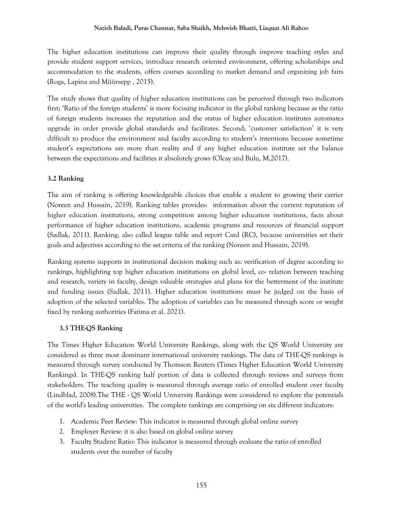The higher education institutions can improve their quality through improve teaching styles and provide student support services, introduce research oriented environment, offering scholarships and accommodation to the students, offers courses according to market demand and organizing job fairs (Roga, Lapina and Müürsepp , 2015).

The study shows that quality of higher education institutions can be perceived through two indicators first; 'Ratio of the foreign students' is more focusing indicator in the global ranking because as the ratio of foreign students increases the reputation and the status of higher education institutes automates upgrade in order provide global standards and facilitates. Second; 'customer satisfaction' it is very difficult to produce the environment and faculty according to student's intentions because sometime student's expectations are more than reality and if any higher education institute set the balance between the expectations and facilities it absolutely grows **(**Olcay and Bulu, M,2017).

# **3.2 Ranking**

The aim of ranking is offering knowledgeable choices that enable a student to growing their carrier (Noreen and Hussain, 2019). Ranking tables provides: information about the current reputation of higher education institutions, strong competition among higher education institutions, facts about performance of higher education institutions, academic programs and resources of financial support (Sadlak, 2011). Ranking, also called league table and report Card (RC), because universities set their goals and adjectives according to the set criteria of the ranking (Noreen and Hussain, 2019).

Ranking systems supports in institutional decision making such as: verification of degree according to rankings, highlighting top higher education institutions on global level, co- relation between teaching and research, variety in faculty, design valuable strategies and plans for the betterment of the institute and funding issues (Sadlak, 2011). Higher education institutions must be judged on the basis of adoption of the selected variables. The adoption of variables can be measured through score or weight fixed by ranking authorities **(**Fatima et al. 2021).

## **3.3 THE-QS Ranking**

The Times Higher Education World University Rankings, along with the QS World University are considered as three most dominant international university rankings. The data of THE-QS rankings is measured through survey conducted by Thomson Reuters (Times Higher Education World University Rankings). In THE-QS ranking half portion of data is collected through reviews and surveys from stakeholders. The teaching quality is measured through average ratio of enrolled student over faculty (Lindblad, 2008).The THE - QS World University Rankings were considered to explore the potentials of the world's leading universities. The complete rankings are comprising on six different indicators:

- 1. Academic Peer Review: This indicator is measured through global online survey
- 2. Employer Review: it is also based on global online survey
- 3. Faculty Student Ratio: This indicator is measured through evaluate the ratio of enrolled students over the number of faculty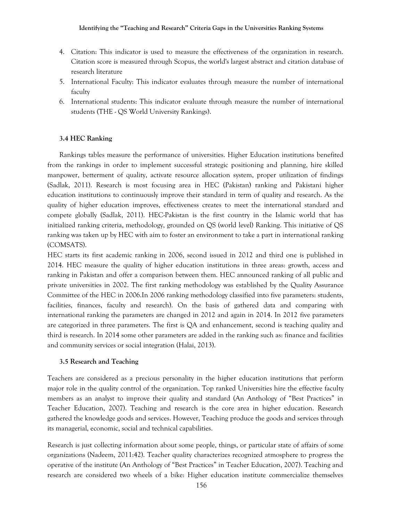- 4. Citation: This indicator is used to measure the effectiveness of the organization in research. Citation score is measured through Scopus, the world's largest abstract and citation database of research literature
- 5. International Faculty: This indicator evaluates through measure the number of international faculty
- 6. International students: This indicator evaluate through measure the number of international students (THE - QS World University Rankings).

#### **3.4 HEC Ranking**

Rankings tables measure the performance of universities. Higher Education institutions benefited from the rankings in order to implement successful strategic positioning and planning, hire skilled manpower, betterment of quality, activate resource allocation system, proper utilization of findings (Sadlak, 2011). Research is most focusing area in HEC (Pakistan) ranking and Pakistani higher education institutions to continuously improve their standard in term of quality and research. As the quality of higher education improves, effectiveness creates to meet the international standard and compete globally (Sadlak, 2011). HEC-Pakistan is the first country in the Islamic world that has initialized ranking criteria, methodology, grounded on QS (world level) Ranking. This initiative of QS ranking was taken up by HEC with aim to foster an environment to take a part in international ranking (COMSATS).

HEC starts its first academic ranking in 2006, second issued in 2012 and third one is published in 2014. HEC measure the quality of higher education institutions in three areas: growth, access and ranking in Pakistan and offer a comparison between them. HEC announced ranking of all public and private universities in 2002. The first ranking methodology was established by the Quality Assurance Committee of the HEC in 2006.In 2006 ranking methodology classified into five parameters: students, facilities, finances, faculty and research). On the basis of gathered data and comparing with international ranking the parameters are changed in 2012 and again in 2014. In 2012 five parameters are categorized in three parameters. The first is QA and enhancement, second is teaching quality and third is research. In 2014 some other parameters are added in the ranking such as: finance and facilities and community services or social integration (Halai, 2013).

#### **3.5 Research and Teaching**

Teachers are considered as a precious personality in the higher education institutions that perform major role in the quality control of the organization. Top ranked Universities hire the effective faculty members as an analyst to improve their quality and standard (An Anthology of "Best Practices" in Teacher Education, 2007). Teaching and research is the core area in higher education. Research gathered the knowledge goods and services. However, Teaching produce the goods and services through its managerial, economic, social and technical capabilities.

Research is just collecting information about some people, things, or particular state of affairs of some organizations (Nadeem, 2011:42). Teacher quality characterizes recognized atmosphere to progress the operative of the institute (An Anthology of "Best Practices" in Teacher Education, 2007). Teaching and research are considered two wheels of a bike: Higher education institute commercialize themselves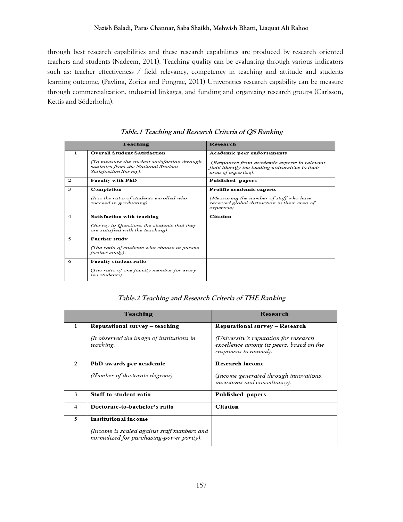## **Nazish Baladi, Paras Channar, Saba Shaikh, Mehwish Bhatti, Liaquat Ali Rahoo**

through best research capabilities and these research capabilities are produced by research oriented teachers and students (Nadeem, 2011). Teaching quality can be evaluating through various indicators such as: teacher effectiveness / field relevancy, competency in teaching and attitude and students learning outcome, (Pavlina, Zorica and Pongrac, 2011) Universities research capability can be measure through commercialization, industrial linkages, and funding and organizing research groups (Carlsson, Kettis and Söderholm).

|                            | <b>Teaching</b>                                                                                               | <b>Research</b>                                                                                                         |
|----------------------------|---------------------------------------------------------------------------------------------------------------|-------------------------------------------------------------------------------------------------------------------------|
| 1                          | <b>Overall Student Satisfaction</b>                                                                           | <b>Academic peer endorsements</b>                                                                                       |
|                            | (To measure the student satisfaction through<br>statistics from the National Student<br>Satisfaction Survey). | (Responses from academic experts in relevant<br>field identify the leading universities in their<br>area of expertise). |
| 2                          | <b>Faculty with PhD</b>                                                                                       | Published papers                                                                                                        |
| 3                          | Completion                                                                                                    | Prolific academic experts                                                                                               |
|                            | (It is the ratio of students enrolled who<br>succeed in graduating).                                          | (Measuring the number of staff who have<br>received global distinction in their area of<br>expertise).                  |
| $\boldsymbol{\mathcal{A}}$ | Satisfaction with teaching                                                                                    | Citation                                                                                                                |
|                            | (Survey to Questions the students that they<br>are satisfied with the teaching).                              |                                                                                                                         |
| 5                          | <b>Further study</b>                                                                                          |                                                                                                                         |
|                            | (The ratio of students who choose to pursue<br>further study).                                                |                                                                                                                         |
| 6                          | <b>Faculty student ratio</b>                                                                                  |                                                                                                                         |
|                            | (The ratio of one faculty member for every<br>ten students).                                                  |                                                                                                                         |

**Table.1 Teaching and Research Criteria of QS Ranking**

| Table.2 Teaching and Research Criteria of THE Ranking |  |
|-------------------------------------------------------|--|
|-------------------------------------------------------|--|

|   | Teaching                                                                                | Research                                                                                                   |  |
|---|-----------------------------------------------------------------------------------------|------------------------------------------------------------------------------------------------------------|--|
| 1 | Reputational survey - teaching                                                          | Reputational survey - Research                                                                             |  |
|   | (It observed the image of institutions in<br>teaching.                                  | (University's reputation for research<br>excellence among its peers, based on the<br>responses to annual). |  |
| 2 | PhD awards per academic                                                                 | <b>Research income</b>                                                                                     |  |
|   | (Number of doctorate degrees)                                                           | (Income generated through innovations,<br>inventions and consultancy).                                     |  |
| 3 | Staff-to-student ratio                                                                  | Published papers                                                                                           |  |
| 4 | Doctorate-to-bachelor's ratio                                                           | <b>Citation</b>                                                                                            |  |
| 5 | <b>Institutional income</b>                                                             |                                                                                                            |  |
|   | (Income is scaled against staff numbers and<br>normalized for purchasing-power parity). |                                                                                                            |  |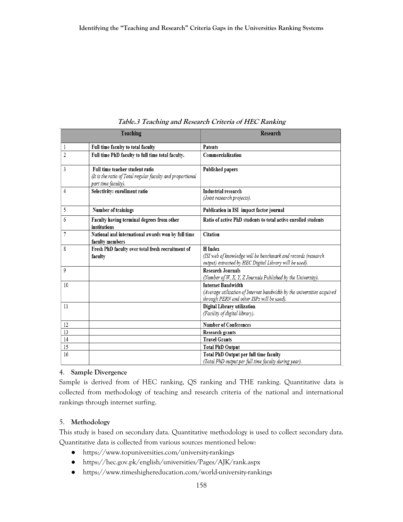| Teaching       |                                                                                                                      | <b>Research</b>                                                                                                                                    |  |
|----------------|----------------------------------------------------------------------------------------------------------------------|----------------------------------------------------------------------------------------------------------------------------------------------------|--|
| 1              | Full time faculty to total faculty                                                                                   | <b>Patents</b>                                                                                                                                     |  |
| $\overline{2}$ | Full time PhD faculty to full time total faculty.                                                                    | Commercialization                                                                                                                                  |  |
| 3              | Full time teacher student ratio<br>(It is the ratio of Total regular faculty and proportional<br>part time faculty). | <b>Published papers</b>                                                                                                                            |  |
| 4              | Selectivity: enrollment ratio                                                                                        | <b>Industrial research</b><br>(Joint research projects).                                                                                           |  |
| 5              | Number of trainings                                                                                                  | Publication in ISI impact factor journal                                                                                                           |  |
| 6              | Faculty having terminal degrees from other<br>institutions                                                           | Ratio of active PhD students to total active enrolled students                                                                                     |  |
| 7              | National and international awards won by full time<br>faculty members                                                | <b>Citation</b>                                                                                                                                    |  |
| 8              | Fresh PhD faculty over total fresh recruitment of<br>faculty                                                         | H Index<br>(ISI web of knowledge will be benchmark and records (research<br>output) extracted by HEC Digital Library will be used).                |  |
| 9              |                                                                                                                      | <b>Research Journals</b><br>(Number of W, X, Y, Z Journals Published by the University).                                                           |  |
| 10             |                                                                                                                      | <b>Internet Bandwidth</b><br>(Average utilization of Internet bandwidth by the universities acquired<br>through PERN and other ISPs will be used). |  |
| 11             |                                                                                                                      | Digital Library utilization<br>(Facility of digital library).                                                                                      |  |
| 12             |                                                                                                                      | <b>Number of Conferences</b>                                                                                                                       |  |
| 13             |                                                                                                                      | <b>Research grants</b>                                                                                                                             |  |
| 14             |                                                                                                                      | <b>Travel Grants</b>                                                                                                                               |  |
| 15             |                                                                                                                      | <b>Total PhD Output</b>                                                                                                                            |  |
| 16             |                                                                                                                      | <b>Total PhD Output per full time faculty</b><br>(Total PhD output per full time faculty during year).                                             |  |

**Table.3 Teaching and Research Criteria of HEC Ranking**

## 4. **Sample Divergence**

Sample is derived from of HEC ranking, QS ranking and THE ranking. Quantitative data is collected from methodology of teaching and research criteria of the national and international rankings through internet surfing.

# 5. **Methodology**

This study is based on secondary data. Quantitative methodology is used to collect secondary data. Quantitative data is collected from various sources mentioned below:

- https://www.topuniversities.com/university-rankings
- https://hec.gov.pk/english/universities/Pages/AJK/rank.aspx
- https://www.timeshighereducation.com/world-university-rankings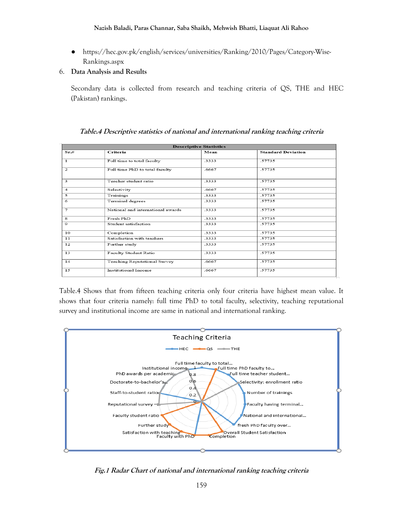- https://hec.gov.pk/english/services/universities/Ranking/2010/Pages/Category-Wise-Rankings.aspx
- 6. **Data Analysis and Results**

Secondary data is collected from research and teaching criteria of QS, THE and HEC (Pakistan) rankings.

| <b>Descriptive Statistics</b> |                                   |       |                           |  |
|-------------------------------|-----------------------------------|-------|---------------------------|--|
| Sr.#                          | Criteria                          | Mean  | <b>Standard Deviation</b> |  |
| 1                             | Full time to total faculty        | .3333 | .57735                    |  |
| $\overline{2}$                | Full time PhD to total faculty    | .6667 | .57735                    |  |
| 3                             | Teacher student ratio             | .3333 | .57735                    |  |
| $\overline{4}$                | Selectivity                       | .6667 | .57735                    |  |
| 5                             | Trainings                         | .3333 | .57735                    |  |
| 6                             | Terminal degrees                  | .3333 | .57735                    |  |
| 7                             | National and international awards | .3333 | .57735                    |  |
| 8                             | Fresh PhD                         | .3333 | .57735                    |  |
| 9                             | Student satisfaction              | .3333 | .57735                    |  |
| 10                            | Completion                        | .3333 | .57735                    |  |
| 11                            | Satisfaction with teachers        | .3333 | .57735                    |  |
| 12                            | Further study                     | .3333 | .57735                    |  |
| 13                            | Faculty Student Ratio             | .3333 | .57735                    |  |
| 14                            | Teaching Reputational Survey      | .6667 | .57735                    |  |
| 15                            | Institutional Income              | .6667 | .57735                    |  |

## **Table.4 Descriptive statistics of national and international ranking teaching criteria**

Table.4 Shows that from fifteen teaching criteria only four criteria have highest mean value. It shows that four criteria namely: full time PhD to total faculty, selectivity, teaching reputational survey and institutional income are same in national and international ranking.



**Fig.1 Radar Chart of national and international ranking teaching criteria**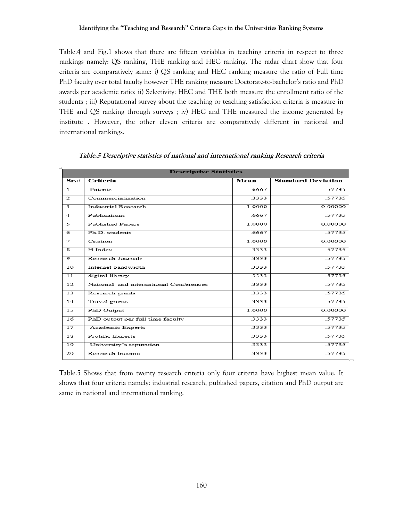#### **Identifying the "Teaching and Research" Criteria Gaps in the Universities Ranking Systems**

Table.4 and Fig.1 shows that there are fifteen variables in teaching criteria in respect to three rankings namely: QS ranking, THE ranking and HEC ranking. The radar chart show that four criteria are comparatively same: i) QS ranking and HEC ranking measure the ratio of Full time PhD faculty over total faculty however THE ranking measure Doctorate-to-bachelor's ratio and PhD awards per academic ratio; ii) Selectivity: HEC and THE both measure the enrollment ratio of the students ; iii) Reputational survey about the teaching or teaching satisfaction criteria is measure in THE and QS ranking through surveys ; iv) HEC and THE measured the income generated by institute . However, the other eleven criteria are comparatively different in national and international rankings.

| <b>Descriptive Statistics</b> |                                        |        |                           |  |
|-------------------------------|----------------------------------------|--------|---------------------------|--|
| Sr.#                          | Criteria                               | Mean   | <b>Standard Deviation</b> |  |
| $\overline{1}$                | Patents                                | 6667   | .57735                    |  |
| $\mathfrak{D}$                | Commercialization                      | 3333   | .57735                    |  |
| 3                             | <b>Industrial Research</b>             | 1.0000 | 0.00000                   |  |
| $\overline{4}$                | <b>Publications</b>                    | 6667   | .57735                    |  |
| $\overline{5}$                | <b>Published Papers</b>                | 1.0000 | 0.00000                   |  |
| $\overline{6}$                | $Ph D$ students                        | 6667   | .57735                    |  |
| 7                             | Citation                               | 1.0000 | 0.00000                   |  |
| 8                             | H Index                                | 3333   | 57735                     |  |
| $\overline{Q}$                | Research Journals                      | 3333   | 57735                     |  |
| 10                            | Internet bandwidth                     | 3333   | .57735                    |  |
| 11                            | digital library                        | 3333   | .57735                    |  |
| 12                            | National and international Conferences | 3333   | 57735                     |  |
| 13                            | Research grants                        | 3333   | 57735                     |  |
| 14                            | Travel grants                          | 3333   | .57735                    |  |
| 15                            | PhD Output                             | 1.0000 | 0.00000                   |  |
| 16                            | PhD output per full time faculty       | 3333   | .57735                    |  |
| 17                            | <b>Academic Experts</b>                | 3333   | .57735                    |  |
| 18                            | Prolific Experts                       | 3333   | 57735                     |  |
| 19                            | University's reputation                | 3333   | 57735                     |  |
| 20                            | Research Income                        | .3333  | .57735                    |  |

**Table.5 Descriptive statistics of national and international ranking Research criteria**

Table.5 Shows that from twenty research criteria only four criteria have highest mean value. It shows that four criteria namely: industrial research, published papers, citation and PhD output are same in national and international ranking.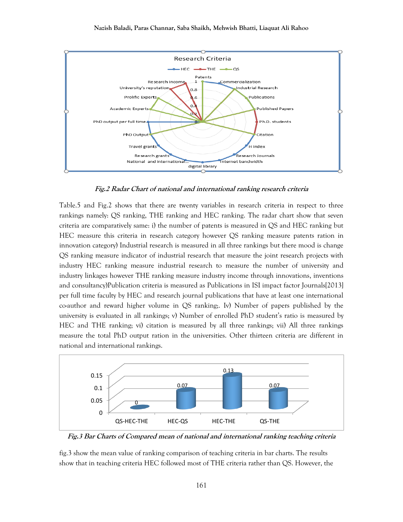

**Fig.2 Radar Chart of national and international ranking research criteria**

Table.5 and Fig.2 shows that there are twenty variables in research criteria in respect to three rankings namely: QS ranking, THE ranking and HEC ranking. The radar chart show that seven criteria are comparatively same: i) the number of patents is measured in QS and HEC ranking but HEC measure this criteria in research category however QS ranking measure patents ration in innovation category) Industrial research is measured in all three rankings but there mood is change QS ranking measure indicator of industrial research that measure the joint research projects with industry HEC ranking measure industrial research to measure the number of university and industry linkages however THE ranking measure industry income through innovations, inventions and consultancy)Publication criteria is measured as Publications in ISI impact factor Journals[2013] per full time faculty by HEC and research journal publications that have at least one international co-author and reward higher volume in QS ranking;. Iv) Number of papers published by the university is evaluated in all rankings; v) Number of enrolled PhD student's ratio is measured by HEC and THE ranking; vi) citation is measured by all three rankings; vii) All three rankings measure the total PhD output ration in the universities. Other thirteen criteria are different in national and international rankings.



**Fig.3 Bar Charts of Compared mean of national and international ranking teaching criteria**

fig.3 show the mean value of ranking comparison of teaching criteria in bar charts. The results show that in teaching criteria HEC followed most of THE criteria rather than QS. However, the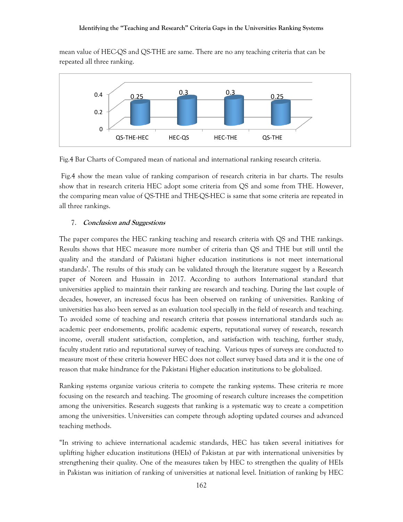mean value of HEC-QS and QS-THE are same. There are no any teaching criteria that can be repeated all three ranking.



Fig.4 Bar Charts of Compared mean of national and international ranking research criteria.

Fig.4 show the mean value of ranking comparison of research criteria in bar charts. The results show that in research criteria HEC adopt some criteria from QS and some from THE. However, the comparing mean value of QS-THE and THE-QS-HEC is same that some criteria are repeated in all three rankings.

### 7. **Conclusion and Suggestions**

The paper compares the HEC ranking teaching and research criteria with QS and THE rankings. Results shows that HEC measure more number of criteria than QS and THE but still until the quality and the standard of Pakistani higher education institutions is not meet international standards'. The results of this study can be validated through the literature suggest by a Research paper of Noreen and Hussain in 2017. According to authors International standard that universities applied to maintain their ranking are research and teaching. During the last couple of decades, however, an increased focus has been observed on ranking of universities. Ranking of universities has also been served as an evaluation tool specially in the field of research and teaching. To avoided some of teaching and research criteria that possess international standards such as: academic peer endorsements, prolific academic experts, reputational survey of research, research income, overall student satisfaction, completion, and satisfaction with teaching, further study, faculty student ratio and reputational survey of teaching. Various types of surveys are conducted to measure most of these criteria however HEC does not collect survey based data and it is the one of reason that make hindrance for the Pakistani Higher education institutions to be globalized.

Ranking systems organize various criteria to compete the ranking systems. These criteria re more focusing on the research and teaching. The grooming of research culture increases the competition among the universities. Research suggests that ranking is a systematic way to create a competition among the universities. Universities can compete through adopting updated courses and advanced teaching methods.

"In striving to achieve international academic standards, HEC has taken several initiatives for uplifting higher education institutions (HEIs) of Pakistan at par with international universities by strengthening their quality. One of the measures taken by HEC to strengthen the quality of HEIs in Pakistan was initiation of ranking of universities at national level. Initiation of ranking by HEC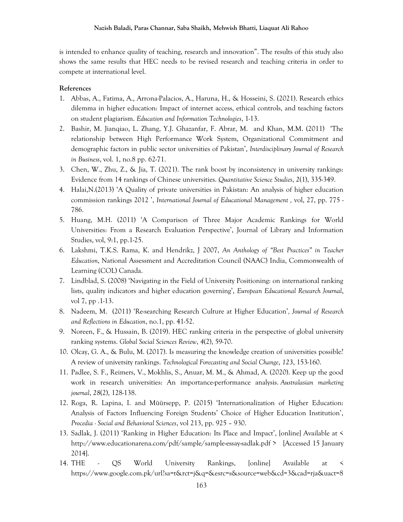is intended to enhance quality of teaching, research and innovation". The results of this study also shows the same results that HEC needs to be revised research and teaching criteria in order to compete at international level.

#### **References**

- 1. Abbas, A., Fatima, A., Arrona-Palacios, A., Haruna, H., & Hosseini, S. (2021). Research ethics dilemma in higher education: Impact of internet access, ethical controls, and teaching factors on student plagiarism. *Education and Information Technologies*, 1-13.
- 2. Bashir, M. Jianqiao, L. Zhang, Y.J. Ghazanfar, F. Abrar, M. and Khan, M.M. (2011) 'The relationship between High Performance Work System, Organizational Commitment and demographic factors in public sector universities of Pakistan', *Interdisciplinary Journal of Research in Business*, vol. 1, no.8 pp. 62-71.
- 3. Chen, W., Zhu, Z., & Jia, T. (2021). The rank boost by inconsistency in university rankings: Evidence from 14 rankings of Chinese universities. *Quantitative Science Studies*, *2*(1), 335-349.
- 4. Halai,N.(2013) 'A Quality of private universities in Pakistan: An analysis of higher education commission rankings 2012 ', *International Journal of Educational Management ,* vol, 27, pp. 775 - 786.
- 5. Huang, M.H. (2011) 'A Comparison of Three Major Academic Rankings for World Universities: From a Research Evaluation Perspective', Journal of Library and Information Studies, vol, 9:1, pp.1-25.
- 6. Lakshmi, T.K.S. Rama, K. and Hendrikz, J 2007, *An Anthology of "Best Practices" in Teacher Education*, National Assessment and Accreditation Council (NAAC) India, Commonwealth of Learning (COL) Canada.
- 7. Lindblad, S. (2008) 'Navigating in the Field of University Positioning: on international ranking lists, quality indicators and higher education governing', *European Educational Research Journal*, vol 7, pp .1-13.
- 8. Nadeem, M. (2011) 'Re-searching Research Culture at Higher Education'*, Journal of Research and Reflections in Education*, no.1, pp. 41-52.
- 9. Noreen, F., & Hussain, B. (2019). HEC ranking criteria in the perspective of global university ranking systems. *Global Social Sciences Review*, *4*(2), 59-70.
- 10. Olcay, G. A., & Bulu, M. (2017). Is measuring the knowledge creation of universities possible? A review of university rankings. *Technological Forecasting and Social Change*, *123*, 153-160.
- 11. Padlee, S. F., Reimers, V., Mokhlis, S., Anuar, M. M., & Ahmad, A. (2020). Keep up the good work in research universities: An importance-performance analysis. *Australasian marketing journal*, *28*(2), 128-138.
- 12. Roga, R. Lapina, I. and Müürsepp, P. (2015) 'Internationalization of Higher Education: Analysis of Factors Influencing Foreign Students' Choice of Higher Education Institution', *Procedia - Social and Behavioral Sciences*, vol 213, pp. 925 – 930.
- 13. Sadlak, J. (2011) 'Ranking in Higher Education: Its Place and Impact', [online] Available at < http://www.educationarena.com/pdf/sample/sample-essay-sadlak.pdf > [Accessed 15 January 2014].
- 14. THE QS World University Rankings, [online] Available at < https://www.google.com.pk/url?sa=t&rct=j&q=&esrc=s&source=web&cd=3&cad=rja&uact=8